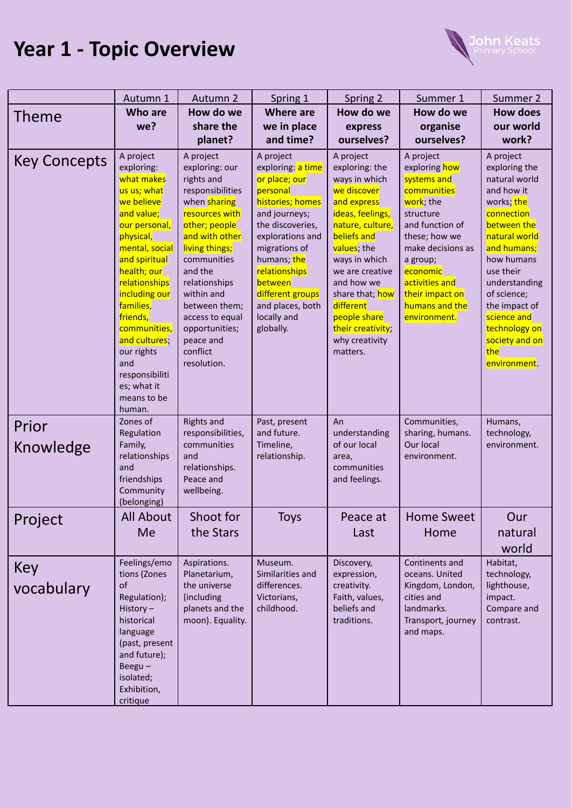## **Year 1 - Topic Overview**



|                     | Autumn 1                                                                                                                                                                                                                                                                                                                                    | Autumn 2                                                                                                                                                                                                                                                                                                           | Spring 1                                                                                                                                                                                                                                                                 | Spring 2                                                                                                                                                                                                                                                                                              | Summer 1                                                                                                                                                                                                                                   | Summer 2                                                                                                                                                                                                                                                                                  |
|---------------------|---------------------------------------------------------------------------------------------------------------------------------------------------------------------------------------------------------------------------------------------------------------------------------------------------------------------------------------------|--------------------------------------------------------------------------------------------------------------------------------------------------------------------------------------------------------------------------------------------------------------------------------------------------------------------|--------------------------------------------------------------------------------------------------------------------------------------------------------------------------------------------------------------------------------------------------------------------------|-------------------------------------------------------------------------------------------------------------------------------------------------------------------------------------------------------------------------------------------------------------------------------------------------------|--------------------------------------------------------------------------------------------------------------------------------------------------------------------------------------------------------------------------------------------|-------------------------------------------------------------------------------------------------------------------------------------------------------------------------------------------------------------------------------------------------------------------------------------------|
| Theme               | <b>Who are</b>                                                                                                                                                                                                                                                                                                                              | How do we                                                                                                                                                                                                                                                                                                          | <b>Where are</b>                                                                                                                                                                                                                                                         | How do we                                                                                                                                                                                                                                                                                             | How do we                                                                                                                                                                                                                                  | <b>How does</b>                                                                                                                                                                                                                                                                           |
|                     | we?                                                                                                                                                                                                                                                                                                                                         | share the                                                                                                                                                                                                                                                                                                          | we in place                                                                                                                                                                                                                                                              | express                                                                                                                                                                                                                                                                                               | organise                                                                                                                                                                                                                                   | our world                                                                                                                                                                                                                                                                                 |
|                     |                                                                                                                                                                                                                                                                                                                                             | planet?                                                                                                                                                                                                                                                                                                            | and time?                                                                                                                                                                                                                                                                | ourselves?                                                                                                                                                                                                                                                                                            | ourselves?                                                                                                                                                                                                                                 | work?                                                                                                                                                                                                                                                                                     |
| <b>Key Concepts</b> | A project<br>exploring:<br>what makes<br>us us; what<br>we believe<br>and value;<br>our personal,<br>physical,<br>mental, social<br>and spiritual<br>health; our<br>relationships<br>including our<br>families,<br>friends,<br>communities,<br>and cultures;<br>our rights<br>and<br>responsibiliti<br>es; what it<br>means to be<br>human. | A project<br>exploring: our<br>rights and<br>responsibilities<br>when <b>sharing</b><br>resources with<br>other; people<br>and with other<br>living things;<br>communities<br>and the<br>relationships<br>within and<br>between them;<br>access to equal<br>opportunities;<br>peace and<br>conflict<br>resolution. | A project<br>exploring: a time<br>or place; our<br>personal<br>histories; homes<br>and journeys;<br>the discoveries,<br>explorations and<br>migrations of<br>humans; the<br>relationships<br>between<br>different groups<br>and places, both<br>locally and<br>globally. | A project<br>exploring: the<br>ways in which<br>we discover<br>and express<br>ideas, feelings,<br>nature, culture,<br>beliefs and<br>values; the<br>ways in which<br>we are creative<br>and how we<br>share that; how<br>different<br>people share<br>their creativity;<br>why creativity<br>matters. | A project<br>exploring how<br>systems and<br>communities<br>work; the<br>structure<br>and function of<br>these; how we<br>make decisions as<br>a group;<br>economic<br>activities and<br>their impact on<br>humans and the<br>environment. | A project<br>exploring the<br>natural world<br>and how it<br>works; the<br>connection<br>between the<br>natural world<br>and humans;<br>how humans<br>use their<br>understanding<br>of science;<br>the impact of<br>science and<br>technology on<br>society and on<br>the<br>environment. |
| Prior<br>Knowledge  | Zones of<br>Regulation<br>Family,<br>relationships<br>and<br>friendships<br>Community<br>(belonging)                                                                                                                                                                                                                                        | <b>Rights and</b><br>responsibilities,<br>communities<br>and<br>relationships.<br>Peace and<br>wellbeing.                                                                                                                                                                                                          | Past, present<br>and future.<br>Timeline,<br>relationship.                                                                                                                                                                                                               | An<br>understanding<br>of our local<br>area,<br>communities<br>and feelings.                                                                                                                                                                                                                          | Communities,<br>sharing, humans.<br>Our local<br>environment.                                                                                                                                                                              | Humans,<br>technology,<br>environment.                                                                                                                                                                                                                                                    |
| Project             | All About<br>Me                                                                                                                                                                                                                                                                                                                             | Shoot for<br>the Stars                                                                                                                                                                                                                                                                                             | <b>Toys</b>                                                                                                                                                                                                                                                              | Peace at<br>Last                                                                                                                                                                                                                                                                                      | <b>Home Sweet</b><br>Home                                                                                                                                                                                                                  | Our<br>natural<br>world                                                                                                                                                                                                                                                                   |
| Key<br>vocabulary   | Feelings/emo<br>tions (Zones<br>of<br>Regulation);<br>History-<br>historical<br>language<br>(past, present<br>and future);<br>Beegu $-$<br>isolated;<br>Exhibition,<br>critique                                                                                                                                                             | Aspirations.<br>Planetarium,<br>the universe<br>(including<br>planets and the<br>moon). Equality.                                                                                                                                                                                                                  | Museum.<br>Similarities and<br>differences.<br>Victorians,<br>childhood.                                                                                                                                                                                                 | Discovery,<br>expression,<br>creativity.<br>Faith, values,<br>beliefs and<br>traditions.                                                                                                                                                                                                              | Continents and<br>oceans. United<br>Kingdom, London,<br>cities and<br>landmarks.<br>Transport, journey<br>and maps.                                                                                                                        | Habitat,<br>technology,<br>lighthouse,<br>impact.<br>Compare and<br>contrast.                                                                                                                                                                                                             |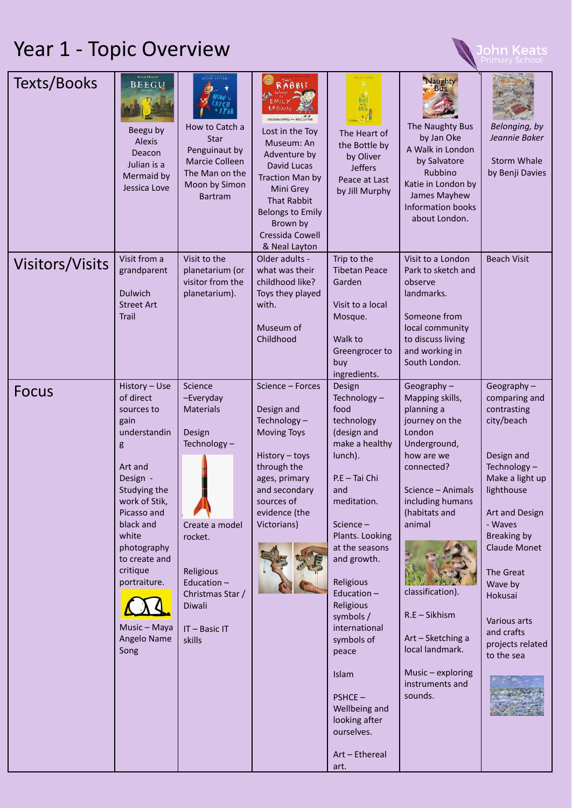## Year 1 - Topic Overview

| Texts/Books            | <b>Alexis Deacon</b><br><b>BEEGU</b><br>Beegu by<br>Alexis<br>Deacon<br>Julian is a<br>Mermaid by<br>Jessica Love                                                                                                                                                     | <b>OLLVER SEFFERS</b><br>How to Catch a<br>Star<br>Penguinaut by<br>Marcie Colleen<br>The Man on the<br>Moon by Simon<br><b>Bartram</b>                                              | RABBIT<br><b>CRESSIDA COWELL AND NEAL LAYTOR</b><br>Lost in the Toy<br>Museum: An<br>Adventure by<br>David Lucas<br>Traction Man by<br>Mini Grey<br><b>That Rabbit</b><br><b>Belongs to Emily</b><br>Brown by<br>Cressida Cowell<br>& Neal Layton | The Heart of<br>the Bottle by<br>by Oliver<br><b>Jeffers</b><br>Peace at Last<br>by Jill Murphy                                                                                                                                                                                                                                                                                             | Naughty<br><b>Bus</b><br>The Naughty Bus<br>by Jan Oke<br>A Walk in London<br>by Salvatore<br>Rubbino<br>Katie in London by<br>James Mayhew<br><b>Information books</b><br>about London.                                                                                                                                   | Belonging, by<br>Jeannie Baker<br><b>Storm Whale</b><br>by Benji Davies                                                                                                                                                                                                                  |
|------------------------|-----------------------------------------------------------------------------------------------------------------------------------------------------------------------------------------------------------------------------------------------------------------------|--------------------------------------------------------------------------------------------------------------------------------------------------------------------------------------|---------------------------------------------------------------------------------------------------------------------------------------------------------------------------------------------------------------------------------------------------|---------------------------------------------------------------------------------------------------------------------------------------------------------------------------------------------------------------------------------------------------------------------------------------------------------------------------------------------------------------------------------------------|----------------------------------------------------------------------------------------------------------------------------------------------------------------------------------------------------------------------------------------------------------------------------------------------------------------------------|------------------------------------------------------------------------------------------------------------------------------------------------------------------------------------------------------------------------------------------------------------------------------------------|
| <b>Visitors/Visits</b> | Visit from a<br>grandparent<br><b>Dulwich</b><br><b>Street Art</b><br><b>Trail</b>                                                                                                                                                                                    | Visit to the<br>planetarium (or<br>visitor from the<br>planetarium).                                                                                                                 | Older adults -<br>what was their<br>childhood like?<br>Toys they played<br>with.<br>Museum of<br>Childhood                                                                                                                                        | Trip to the<br><b>Tibetan Peace</b><br>Garden<br>Visit to a local<br>Mosque.<br>Walk to<br>Greengrocer to<br>buy<br>ingredients.                                                                                                                                                                                                                                                            | Visit to a London<br>Park to sketch and<br>observe<br>landmarks.<br>Someone from<br>local community<br>to discuss living<br>and working in<br>South London.                                                                                                                                                                | <b>Beach Visit</b>                                                                                                                                                                                                                                                                       |
| <b>Focus</b>           | History - Use<br>of direct<br>sources to<br>gain<br>understandin<br>g<br>Art and<br>Design -<br>Studying the<br>work of Stik,<br>Picasso and<br>black and<br>white<br>photography<br>to create and<br>critique<br>portraiture.<br>Music - Maya<br>Angelo Name<br>Song | Science<br>-Everyday<br><b>Materials</b><br>Design<br>Technology-<br>Create a model<br>rocket.<br>Religious<br>Education-<br>Christmas Star /<br>Diwali<br>$IT - Basic IT$<br>skills | Science - Forces<br>Design and<br>Technology-<br><b>Moving Toys</b><br>History - toys<br>through the<br>ages, primary<br>and secondary<br>sources of<br>evidence (the<br>Victorians)                                                              | Design<br>Technology-<br>food<br>technology<br>(design and<br>make a healthy<br>lunch).<br>P.E - Tai Chi<br>and<br>meditation.<br>Science-<br>Plants. Looking<br>at the seasons<br>and growth.<br>Religious<br>Education-<br>Religious<br>symbols /<br>international<br>symbols of<br>peace<br>Islam<br>$PSHCE -$<br>Wellbeing and<br>looking after<br>ourselves.<br>Art - Ethereal<br>art. | Geography $-$<br>Mapping skills,<br>planning a<br>journey on the<br>London<br>Underground,<br>how are we<br>connected?<br>Science - Animals<br>including humans<br>(habitats and<br>animal<br>classification).<br>R.E - Sikhism<br>Art - Sketching a<br>local landmark.<br>Music - exploring<br>instruments and<br>sounds. | Geography $-$<br>comparing and<br>contrasting<br>city/beach<br>Design and<br>Technology-<br>Make a light up<br>lighthouse<br>Art and Design<br>- Waves<br>Breaking by<br>Claude Monet<br>The Great<br>Wave by<br>Hokusai<br>Various arts<br>and crafts<br>projects related<br>to the sea |